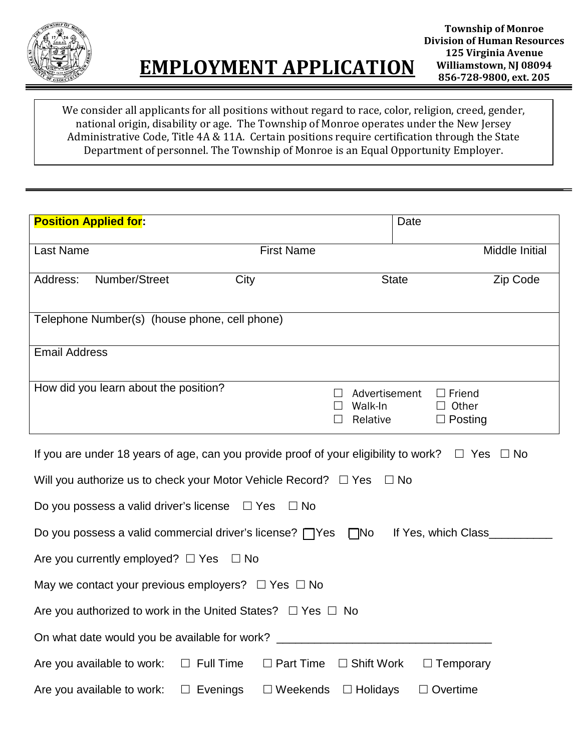

We consider all applicants for all positions without regard to race, color, religion, creed, gender, national origin, disability or age. The Township of Monroe operates under the New Jersey Administrative Code, Title 4A & 11A. Certain positions require certification through the State Department of personnel. The Township of Monroe is an Equal Opportunity Employer.

| <b>Position Applied for:</b>                                                                                    |                                                | Date                                            |                |  |
|-----------------------------------------------------------------------------------------------------------------|------------------------------------------------|-------------------------------------------------|----------------|--|
| Last Name<br><b>First Name</b>                                                                                  |                                                |                                                 | Middle Initial |  |
| Number/Street<br>City<br>Address:                                                                               |                                                | <b>State</b>                                    | Zip Code       |  |
| Telephone Number(s) (house phone, cell phone)                                                                   |                                                |                                                 |                |  |
| <b>Email Address</b>                                                                                            |                                                |                                                 |                |  |
| How did you learn about the position?                                                                           | Advertisement<br>$\Box$<br>Walk-In<br>Relative | $\Box$ Friend<br>$\Box$ Other<br>$\Box$ Posting |                |  |
| If you are under 18 years of age, can you provide proof of your eligibility to work? $\square$ Yes $\square$ No |                                                |                                                 |                |  |
| Will you authorize us to check your Motor Vehicle Record? $\Box$ Yes $\Box$ No                                  |                                                |                                                 |                |  |
| Do you possess a valid driver's license $\Box$ Yes<br>$\Box$ No                                                 |                                                |                                                 |                |  |
| Do you possess a valid commercial driver's license? $\Box$ Yes $\Box$ No<br>If Yes, which Class                 |                                                |                                                 |                |  |
| Are you currently employed? $\Box$ Yes $\Box$ No                                                                |                                                |                                                 |                |  |
| May we contact your previous employers? $\Box$ Yes $\Box$ No                                                    |                                                |                                                 |                |  |
| Are you authorized to work in the United States? $\Box$ Yes $\Box$ No                                           |                                                |                                                 |                |  |
| On what date would you be available for work?                                                                   |                                                |                                                 |                |  |
| Are you available to work: $\square$ Full Time<br>$\Box$ Part Time $\Box$ Shift Work<br>$\Box$ Temporary        |                                                |                                                 |                |  |

Are you available to work:  $\square$  Evenings  $\square$  Weekends  $\square$  Holidays  $\square$  Overtime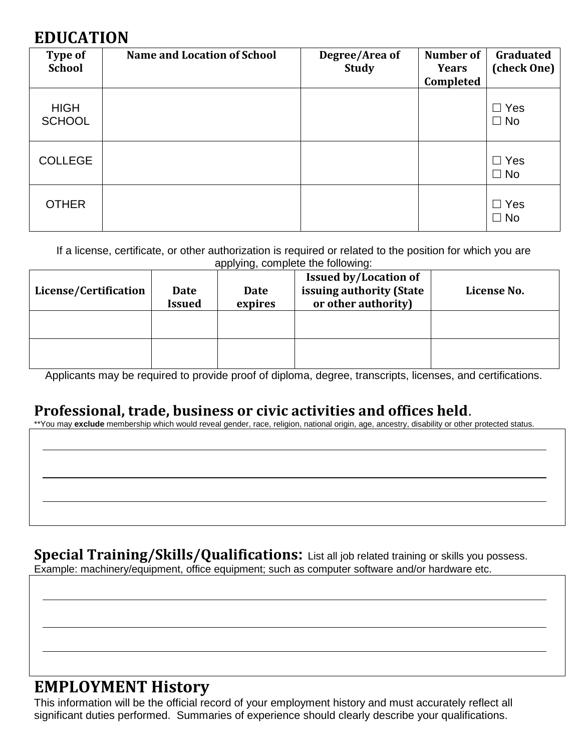# **EDUCATION**

| <b>Type of</b><br><b>School</b> | <b>Name and Location of School</b> | Degree/Area of<br><b>Study</b> | Number of<br><b>Years</b><br>Completed | Graduated<br>(check One) |
|---------------------------------|------------------------------------|--------------------------------|----------------------------------------|--------------------------|
| <b>HIGH</b><br><b>SCHOOL</b>    |                                    |                                |                                        | $\Box$ Yes<br>$\Box$ No  |
| <b>COLLEGE</b>                  |                                    |                                |                                        | $\Box$ Yes<br>$\Box$ No  |
| <b>OTHER</b>                    |                                    |                                |                                        | $\Box$ Yes<br>$\Box$ No  |

If a license, certificate, or other authorization is required or related to the position for which you are applying, complete the following:

| License/Certification | Date<br><b>Issued</b> | Date<br>expires | <b>Issued by/Location of</b><br>issuing authority (State<br>or other authority) | License No. |
|-----------------------|-----------------------|-----------------|---------------------------------------------------------------------------------|-------------|
|                       |                       |                 |                                                                                 |             |
|                       |                       |                 |                                                                                 |             |

Applicants may be required to provide proof of diploma, degree, transcripts, licenses, and certifications.

### **Professional, trade, business or civic activities and offices held**.

\*\*You may **exclude** membership which would reveal gender, race, religion, national origin, age, ancestry, disability or other protected status.

**Special Training/Skills/Qualifications:** List all job related training or skills you possess. Example: machinery/equipment, office equipment; such as computer software and/or hardware etc.

### **EMPLOYMENT History**

This information will be the official record of your employment history and must accurately reflect all significant duties performed. Summaries of experience should clearly describe your qualifications.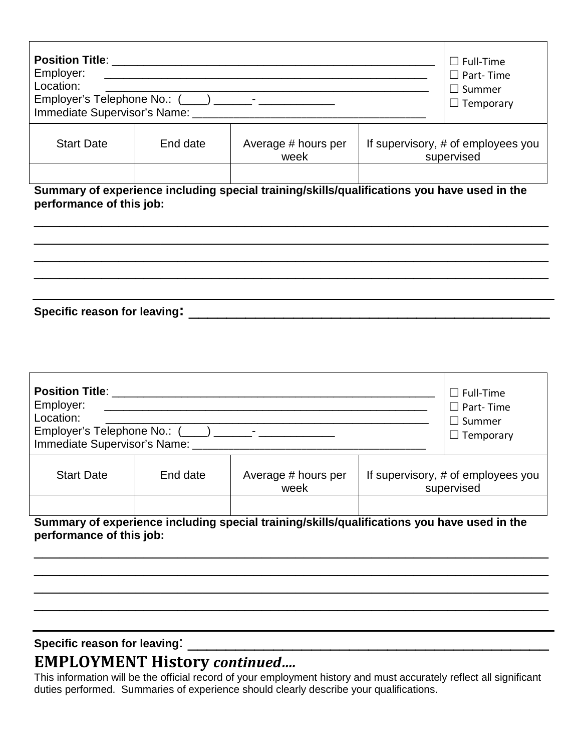| <b>Position Title:</b><br>Employer:<br>Location:<br>Immediate Supervisor's Name: |          |                             | $\Box$ Full-Time<br>$\Box$ Part-Time<br>$\Box$ Summer<br>$\Box$ Temporary |
|----------------------------------------------------------------------------------|----------|-----------------------------|---------------------------------------------------------------------------|
| <b>Start Date</b>                                                                | End date | Average # hours per<br>week | If supervisory, # of employees you<br>supervised                          |
|                                                                                  |          |                             |                                                                           |

**Summary of experience including special training/skills/qualifications you have used in the performance of this job:** 

\_\_\_\_\_\_\_\_\_\_\_\_\_\_\_\_\_\_\_\_\_\_\_\_\_\_\_\_\_\_\_\_\_\_\_\_\_\_\_\_\_\_\_\_\_\_\_\_\_\_\_\_\_\_\_\_\_\_\_\_\_ \_\_\_\_\_\_\_\_\_\_\_\_\_\_\_\_\_\_\_\_\_\_\_\_\_\_\_\_\_\_\_\_\_\_\_\_\_\_\_\_\_\_\_\_\_\_\_\_\_\_\_\_\_\_\_\_\_\_\_\_\_ \_\_\_\_\_\_\_\_\_\_\_\_\_\_\_\_\_\_\_\_\_\_\_\_\_\_\_\_\_\_\_\_\_\_\_\_\_\_\_\_\_\_\_\_\_\_\_\_\_\_\_\_\_\_\_\_\_\_\_\_\_ \_\_\_\_\_\_\_\_\_\_\_\_\_\_\_\_\_\_\_\_\_\_\_\_\_\_\_\_\_\_\_\_\_\_\_\_\_\_\_\_\_\_\_\_\_\_\_\_\_\_\_\_\_\_\_\_\_\_\_\_\_

**Specific reason for leaving:** \_\_\_\_\_\_\_\_\_\_\_\_\_\_\_\_\_\_\_\_\_\_\_\_\_\_\_\_\_\_\_\_\_\_\_\_\_\_

| <b>Position Title:</b><br>Employer:<br>Location:<br>Employer's Telephone No.: (____) _______- _______<br>Immediate Supervisor's Name: | $\Box$ Full-Time<br>$\square$ Part-Time<br>$\Box$ Summer<br>$\Box$ Temporary |                                                                                             |  |                                                  |
|---------------------------------------------------------------------------------------------------------------------------------------|------------------------------------------------------------------------------|---------------------------------------------------------------------------------------------|--|--------------------------------------------------|
| <b>Start Date</b>                                                                                                                     | End date                                                                     | Average # hours per<br>week                                                                 |  | If supervisory, # of employees you<br>supervised |
| performance of this job:                                                                                                              |                                                                              | Summary of experience including special training/skills/qualifications you have used in the |  |                                                  |

\_\_\_\_\_\_\_\_\_\_\_\_\_\_\_\_\_\_\_\_\_\_\_\_\_\_\_\_\_\_\_\_\_\_\_\_\_\_\_\_\_\_\_\_\_\_\_\_\_\_\_\_\_\_\_\_\_\_\_\_\_ \_\_\_\_\_\_\_\_\_\_\_\_\_\_\_\_\_\_\_\_\_\_\_\_\_\_\_\_\_\_\_\_\_\_\_\_\_\_\_\_\_\_\_\_\_\_\_\_\_\_\_\_\_\_\_\_\_\_\_\_\_ \_\_\_\_\_\_\_\_\_\_\_\_\_\_\_\_\_\_\_\_\_\_\_\_\_\_\_\_\_\_\_\_\_\_\_\_\_\_\_\_\_\_\_\_\_\_\_\_\_\_\_\_\_\_\_\_\_\_\_\_\_ \_\_\_\_\_\_\_\_\_\_\_\_\_\_\_\_\_\_\_\_\_\_\_\_\_\_\_\_\_\_\_\_\_\_\_\_\_\_\_\_\_\_\_\_\_\_\_\_\_\_\_\_\_\_\_\_\_\_\_\_\_

### Specific reason for leaving:

## **EMPLOYMENT History** *continued….*

This information will be the official record of your employment history and must accurately reflect all significant duties performed. Summaries of experience should clearly describe your qualifications.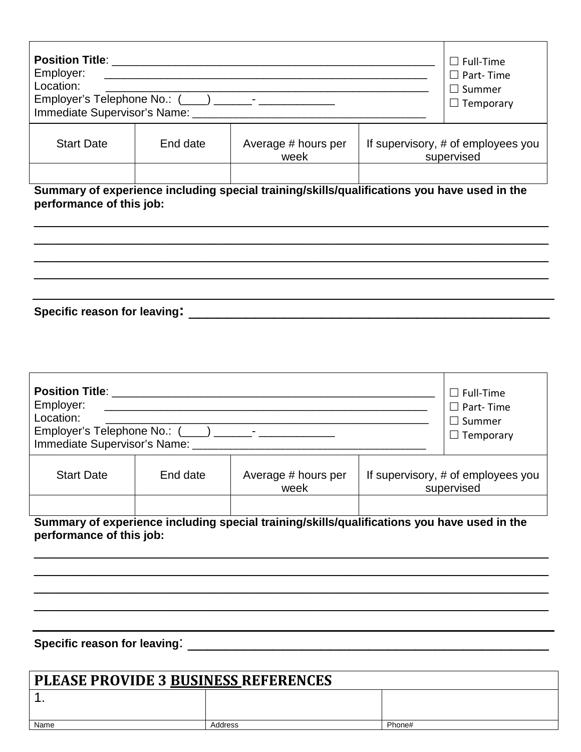| Immediate Supervisor's Name: |                             |                                                     | $\Box$ Full-Time<br>$\square$ Part-Time<br>$\Box$ Summer<br>$\Box$ Temporary |
|------------------------------|-----------------------------|-----------------------------------------------------|------------------------------------------------------------------------------|
| End date                     | Average # hours per<br>week |                                                     | If supervisory, # of employees you<br>supervised                             |
|                              |                             | Employer's Telephone No.: (___) _______- __________ |                                                                              |

**Summary of experience including special training/skills/qualifications you have used in the performance of this job:** 

\_\_\_\_\_\_\_\_\_\_\_\_\_\_\_\_\_\_\_\_\_\_\_\_\_\_\_\_\_\_\_\_\_\_\_\_\_\_\_\_\_\_\_\_\_\_\_\_\_\_\_\_\_\_\_\_\_\_\_\_\_ \_\_\_\_\_\_\_\_\_\_\_\_\_\_\_\_\_\_\_\_\_\_\_\_\_\_\_\_\_\_\_\_\_\_\_\_\_\_\_\_\_\_\_\_\_\_\_\_\_\_\_\_\_\_\_\_\_\_\_\_\_ \_\_\_\_\_\_\_\_\_\_\_\_\_\_\_\_\_\_\_\_\_\_\_\_\_\_\_\_\_\_\_\_\_\_\_\_\_\_\_\_\_\_\_\_\_\_\_\_\_\_\_\_\_\_\_\_\_\_\_\_\_ \_\_\_\_\_\_\_\_\_\_\_\_\_\_\_\_\_\_\_\_\_\_\_\_\_\_\_\_\_\_\_\_\_\_\_\_\_\_\_\_\_\_\_\_\_\_\_\_\_\_\_\_\_\_\_\_\_\_\_\_\_

**Specific reason for leaving:** \_\_\_\_\_\_\_\_\_\_\_\_\_\_\_\_\_\_\_\_\_\_\_\_\_\_\_\_\_\_\_\_\_\_\_\_\_\_

| <b>Position Title:</b><br>Employer:<br>Location:<br>Employer's Telephone No.: (___) ______- ________<br>Immediate Supervisor's Name: | $\Box$ Full-Time<br>$\Box$ Part- Time<br>$\Box$ Summer<br>$\Box$ Temporary |                                                                                             |  |                                                  |
|--------------------------------------------------------------------------------------------------------------------------------------|----------------------------------------------------------------------------|---------------------------------------------------------------------------------------------|--|--------------------------------------------------|
| <b>Start Date</b>                                                                                                                    | End date                                                                   | Average # hours per<br>week                                                                 |  | If supervisory, # of employees you<br>supervised |
| performance of this job:                                                                                                             |                                                                            | Summary of experience including special training/skills/qualifications you have used in the |  |                                                  |

\_\_\_\_\_\_\_\_\_\_\_\_\_\_\_\_\_\_\_\_\_\_\_\_\_\_\_\_\_\_\_\_\_\_\_\_\_\_\_\_\_\_\_\_\_\_\_\_\_\_\_\_\_\_\_\_\_\_\_\_\_ \_\_\_\_\_\_\_\_\_\_\_\_\_\_\_\_\_\_\_\_\_\_\_\_\_\_\_\_\_\_\_\_\_\_\_\_\_\_\_\_\_\_\_\_\_\_\_\_\_\_\_\_\_\_\_\_\_\_\_\_\_ \_\_\_\_\_\_\_\_\_\_\_\_\_\_\_\_\_\_\_\_\_\_\_\_\_\_\_\_\_\_\_\_\_\_\_\_\_\_\_\_\_\_\_\_\_\_\_\_\_\_\_\_\_\_\_\_\_\_\_\_\_ \_\_\_\_\_\_\_\_\_\_\_\_\_\_\_\_\_\_\_\_\_\_\_\_\_\_\_\_\_\_\_\_\_\_\_\_\_\_\_\_\_\_\_\_\_\_\_\_\_\_\_\_\_\_\_\_\_\_\_\_\_

#### **Specific reason for leaving**: \_\_\_\_\_\_\_\_\_\_\_\_\_\_\_\_\_\_\_\_\_\_\_\_\_\_\_\_\_\_\_\_\_\_\_\_\_\_

| <b>PLEASE PROVIDE 3 BUSINESS REFERENCES</b> |         |        |  |
|---------------------------------------------|---------|--------|--|
|                                             |         |        |  |
| Name                                        | Address | Phone# |  |